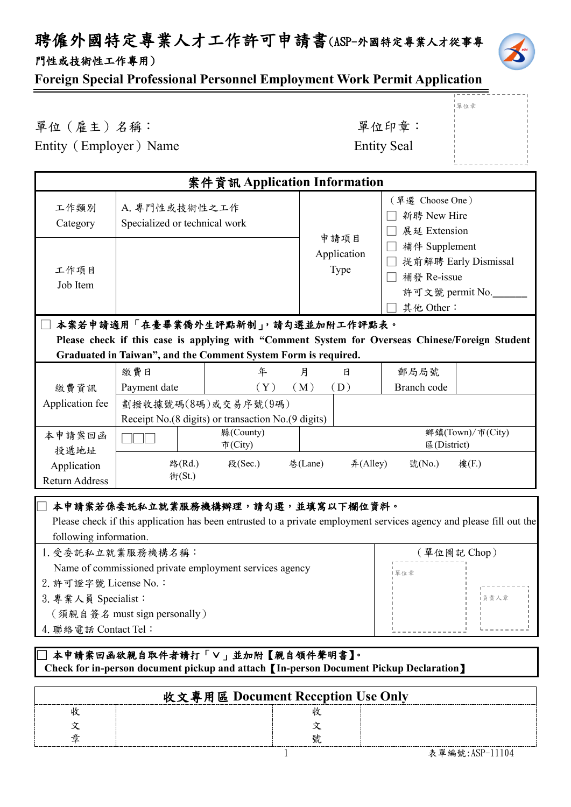# 聘僱外國特定專業人才工作許可申請書(ASP-外國特定專業人才從事專 門性或技術性工作專用)



單位章

#### **Foreign Special Professional Personnel Employment Work Permit Application**

單位(雇主)名稱: 第六章: 李位印章: 第一 Entity (Employer) Name

| <b>Entity Seal</b> |  |
|--------------------|--|
|--------------------|--|

|                                                                  |                                                | 案件資訊 Application Information                                                                                                                             |                             |          |                                                |                                         |
|------------------------------------------------------------------|------------------------------------------------|----------------------------------------------------------------------------------------------------------------------------------------------------------|-----------------------------|----------|------------------------------------------------|-----------------------------------------|
| 工作類別<br>Category                                                 | A. 專門性或技術性之工作<br>Specialized or technical work |                                                                                                                                                          | 申請項目<br>Application<br>Type |          | (單選 Choose One)<br>新聘 New Hire<br>展延 Extension |                                         |
| 工作項目<br>Job Item                                                 |                                                |                                                                                                                                                          |                             |          | 補件 Supplement<br>補發 Re-issue<br>其他 Other:      | 提前解聘 Early Dismissal<br>許可文號 permit No. |
|                                                                  |                                                | 本案若申請適用「在臺畢業僑外生評點新制」,請勾選並加附工作評點表。                                                                                                                        |                             |          |                                                |                                         |
|                                                                  |                                                | Please check if this case is applying with "Comment System for Overseas Chinese/Foreign Student                                                          |                             |          |                                                |                                         |
|                                                                  |                                                | Graduated in Taiwan", and the Comment System Form is required.                                                                                           |                             |          |                                                |                                         |
|                                                                  | 繳費日                                            | 年                                                                                                                                                        | 月                           | 日        | 郵局局號                                           |                                         |
| 繳費資訊                                                             | Payment date                                   | (Y)                                                                                                                                                      | (M)                         | (D)      | Branch code                                    |                                         |
| Application fee                                                  | 劃撥收據號碼(8碼)或交易序號(9碼)                            |                                                                                                                                                          |                             |          |                                                |                                         |
|                                                                  |                                                | Receipt No.(8 digits) or transaction No.(9 digits)                                                                                                       |                             |          |                                                |                                         |
| 本申請案回函<br>投遞地址                                                   |                                                | 縣(County)<br>市(City)                                                                                                                                     |                             |          | 區(District)                                    | 鄉鎮(Town)/市(City)                        |
| Application<br><b>Return Address</b>                             | 路(Rd.)<br>街(St.)                               | 段(Sec.)                                                                                                                                                  | 巷(Lane)                     | 弄(Alley) | 號(No.)                                         | 樓(F.)                                   |
| following information.                                           |                                                | 本申請案若係委託私立就業服務機構辦理,請勾選,並填寫以下欄位資料。<br>Please check if this application has been entrusted to a private employment services agency and please fill out the |                             |          |                                                |                                         |
| 1. 受委託私立就業服務機構名稱:<br>(單位圖記 Chop)                                 |                                                |                                                                                                                                                          |                             |          |                                                |                                         |
| Name of commissioned private employment services agency<br>  單位章 |                                                |                                                                                                                                                          |                             |          |                                                |                                         |
| 2. 許可證字號 License No.:                                            |                                                |                                                                                                                                                          |                             |          |                                                |                                         |
| 3. 專業人員 Specialist:<br>負責人章                                      |                                                |                                                                                                                                                          |                             |          |                                                |                                         |
| (須親自簽名 must sign personally)                                     |                                                |                                                                                                                                                          |                             |          |                                                |                                         |
| 4. 聯絡電話 Contact Tel:                                             |                                                |                                                                                                                                                          |                             |          |                                                |                                         |
|                                                                  |                                                | ] 本申請案回函欲親自取件者請打「∨」並加附【親自領件聲明書】。                                                                                                                         |                             |          |                                                |                                         |

 **Check for in-person document pickup and attach**【**In-person Document Pickup Declaration**】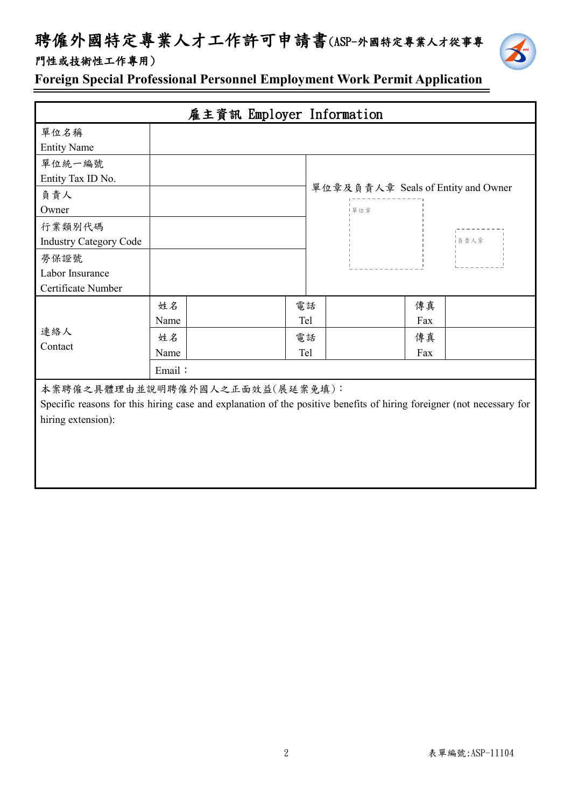# 聘僱外國特定專業人才工作許可申請書(ASP-外國特定專業人才從事專





**Foreign Special Professional Personnel Employment Work Permit Application**

|                               | 雇主資訊 Employer Information                                                                                             |     |                                    |
|-------------------------------|-----------------------------------------------------------------------------------------------------------------------|-----|------------------------------------|
| 單位名稱                          |                                                                                                                       |     |                                    |
| <b>Entity Name</b>            |                                                                                                                       |     |                                    |
| 單位統一編號                        |                                                                                                                       |     |                                    |
| Entity Tax ID No.             |                                                                                                                       |     |                                    |
| 負責人                           |                                                                                                                       |     | 單位章及負責人章 Seals of Entity and Owner |
| Owner                         |                                                                                                                       | 單位章 |                                    |
| 行業類別代碼                        |                                                                                                                       |     |                                    |
| <b>Industry Category Code</b> |                                                                                                                       |     | 負責人章                               |
| 勞保證號                          |                                                                                                                       |     |                                    |
| Labor Insurance               |                                                                                                                       |     |                                    |
| Certificate Number            |                                                                                                                       |     |                                    |
|                               | 姓名                                                                                                                    | 電話  | 傳真                                 |
|                               | Name                                                                                                                  | Tel | Fax                                |
| 連絡人                           | 姓名                                                                                                                    | 電話  | 傳真                                 |
| Contact                       | Name                                                                                                                  | Tel | Fax                                |
|                               | Email:                                                                                                                |     |                                    |
|                               | 本案聘僱之具體理由並說明聘僱外國人之正面效益(展延案免填):                                                                                        |     |                                    |
|                               | Specific reasons for this hiring case and explanation of the positive benefits of hiring foreigner (not necessary for |     |                                    |
| hiring extension):            |                                                                                                                       |     |                                    |
|                               |                                                                                                                       |     |                                    |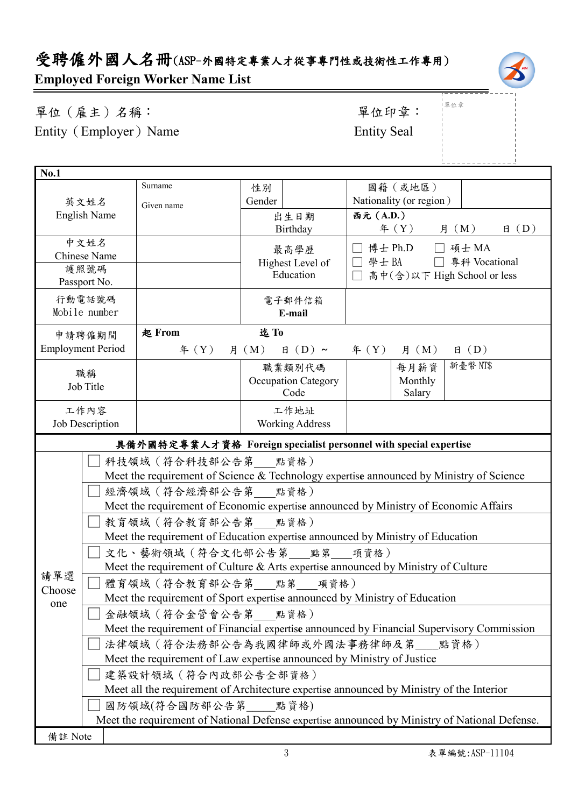# 受聘僱外國人名冊(ASP-外國特定專業人才從事專門性或技術性工作專用) **Employed Foreign Worker Name List**



單位(雇主)名稱: 第四章: 李位印章: 第一 Entity (Employer) Name Entity Seal

單位章

|                             |                                                                                               |                     |                            | $1 - 1 - 1 - 1 - 1 - 1 - 1$                                                             |
|-----------------------------|-----------------------------------------------------------------------------------------------|---------------------|----------------------------|-----------------------------------------------------------------------------------------|
| No.1                        |                                                                                               |                     |                            |                                                                                         |
|                             |                                                                                               | Surname             | 性別                         | 國籍(或地區)                                                                                 |
| 英文姓名<br><b>English Name</b> |                                                                                               | Given name          | Gender                     | Nationality (or region)                                                                 |
|                             |                                                                                               |                     | 出生日期                       | 西元 (A.D.)                                                                               |
|                             |                                                                                               |                     | Birthday                   | 月 (M)<br>$\text{4}$ $(Y)$<br>$\boxplus$ (D)                                             |
|                             | 中文姓名                                                                                          |                     | 最高學歷                       | □ 博士 Ph.D □ 碩士 MA                                                                       |
| <b>Chinese Name</b>         |                                                                                               |                     | Highest Level of           | □ 學士 BA<br>專科 Vocational<br>$\Box$                                                      |
| 護照號碼<br>Passport No.        |                                                                                               |                     | Education                  | 高中(含)以下 High School or less<br>$\Box$                                                   |
|                             |                                                                                               |                     |                            |                                                                                         |
|                             | 行動電話號碼<br>Mobile number                                                                       |                     | 電子郵件信箱<br>E-mail           |                                                                                         |
|                             |                                                                                               |                     |                            |                                                                                         |
|                             | 申請聘僱期間                                                                                        | <b>起 From</b>       | 迄To                        |                                                                                         |
|                             | <b>Employment Period</b>                                                                      | $\text{4}(Y)$       | $\boxplus$ (D) ~<br>月 (M)  | $\boxplus$ (D)<br>$\text{4}(Y)$ 月 $(M)$                                                 |
|                             | 職稱                                                                                            |                     | 職業類別代碼                     | 新臺幣 NT\$<br>每月薪資                                                                        |
|                             | Job Title                                                                                     |                     | <b>Occupation Category</b> | Monthly                                                                                 |
|                             |                                                                                               |                     | Code                       | Salary                                                                                  |
|                             | 工作內容                                                                                          |                     | 工作地址                       |                                                                                         |
|                             | Job Description                                                                               |                     | <b>Working Address</b>     |                                                                                         |
|                             |                                                                                               |                     |                            | 具備外國特定專業人才資格 Foreign specialist personnel with special expertise                        |
| 科技領域 (符合科技部公告第 __ 點資格)      |                                                                                               |                     |                            |                                                                                         |
|                             |                                                                                               |                     |                            | Meet the requirement of Science & Technology expertise announced by Ministry of Science |
|                             | 經濟領域 (符合經濟部公告第 點資格)                                                                           |                     |                            |                                                                                         |
|                             |                                                                                               |                     |                            | Meet the requirement of Economic expertise announced by Ministry of Economic Affairs    |
|                             |                                                                                               | 教育領域 (符合教育部公告第 點資格) |                            |                                                                                         |
|                             | Meet the requirement of Education expertise announced by Ministry of Education                |                     |                            |                                                                                         |
|                             | 文化、藝術領域 (符合文化部公告第 點第 項資格)                                                                     |                     |                            |                                                                                         |
|                             | Meet the requirement of Culture & Arts expertise announced by Ministry of Culture             |                     |                            |                                                                                         |
| 請單選                         | 體育領域(符合教育部公告第<br>點第<br>項資格)                                                                   |                     |                            |                                                                                         |
| Choose                      | Meet the requirement of Sport expertise announced by Ministry of Education                    |                     |                            |                                                                                         |
|                             | one<br>金融領域 (符合金管會公告第 __ 點資格)                                                                 |                     |                            |                                                                                         |
|                             | Meet the requirement of Financial expertise announced by Financial Supervisory Commission     |                     |                            |                                                                                         |
|                             | 法律領域 (符合法務部公告為我國律師或外國法事務律師及第__點資格)                                                            |                     |                            |                                                                                         |
|                             | Meet the requirement of Law expertise announced by Ministry of Justice                        |                     |                            |                                                                                         |
|                             | 建築設計領域 (符合內政部公告全部資格)                                                                          |                     |                            |                                                                                         |
|                             | Meet all the requirement of Architecture expertise announced by Ministry of the Interior      |                     |                            |                                                                                         |
|                             | 國防領域(符合國防部公告第 點資格)                                                                            |                     |                            |                                                                                         |
|                             | Meet the requirement of National Defense expertise announced by Ministry of National Defense. |                     |                            |                                                                                         |
| 備註 Note                     |                                                                                               |                     |                            |                                                                                         |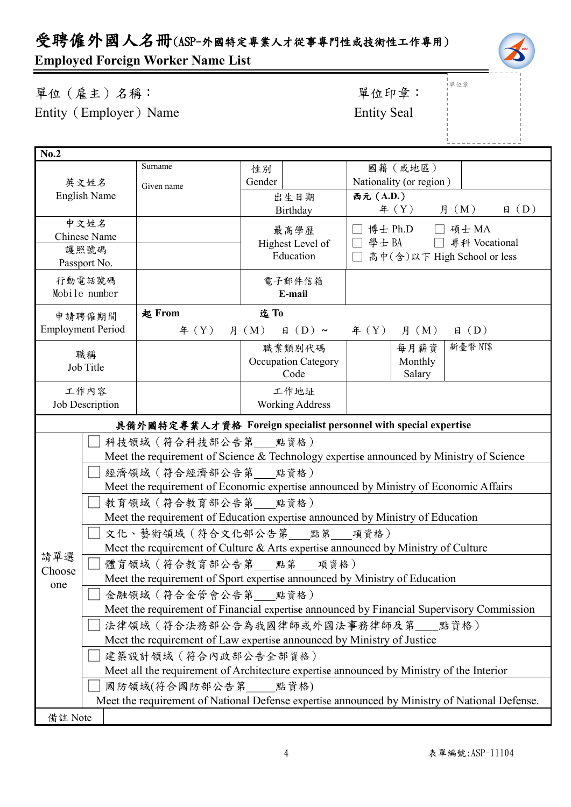# 受聘僱外國人名冊(ASP-外國特定專業人才從事專門性或技術性工作專用)

# **Employed Foreign Worker Name List**

| 單位 (雇主) 名稱:            | 單位印章               |
|------------------------|--------------------|
| Entity (Employer) Name | <b>Entity Seal</b> |

—<br>—

# 單位印章:

|單位章

| No.2                                                             |                                                                                                                    |                             |                                    |                                                                                         |  |
|------------------------------------------------------------------|--------------------------------------------------------------------------------------------------------------------|-----------------------------|------------------------------------|-----------------------------------------------------------------------------------------|--|
|                                                                  |                                                                                                                    | Surname                     | 性別                                 | 國籍(或地區)                                                                                 |  |
| Gender<br>英文姓名<br>Given name                                     |                                                                                                                    | Nationality (or region)     |                                    |                                                                                         |  |
| <b>English Name</b>                                              |                                                                                                                    |                             | 出生日期                               | 西元 (A.D.)                                                                               |  |
|                                                                  |                                                                                                                    |                             | Birthday                           | 月 (M)<br>$\boxplus$ (D)<br>年 $(Y)$                                                      |  |
| 中文姓名<br>最高學歷                                                     |                                                                                                                    | 博士 Ph.D □ 碩士 MA             |                                    |                                                                                         |  |
|                                                                  | <b>Chinese Name</b>                                                                                                |                             | Highest Level of                   | 學士 BA<br>□ 專科 Vocational                                                                |  |
| 護照號碼<br>Education<br>Passport No.                                |                                                                                                                    | 高中(含)以下 High School or less |                                    |                                                                                         |  |
|                                                                  |                                                                                                                    |                             |                                    |                                                                                         |  |
|                                                                  | 行動電話號碼<br>Mobile number                                                                                            |                             | 電子郵件信箱<br>E-mail                   |                                                                                         |  |
|                                                                  |                                                                                                                    |                             |                                    |                                                                                         |  |
|                                                                  | 申請聘僱期間                                                                                                             | 起 From                      | 迄To                                |                                                                                         |  |
|                                                                  | <b>Employment Period</b>                                                                                           | $\text{4}(Y)$               | $\boxplus$ (D) ~<br>月 (M)          | $\text{4}(Y)$ 月 (M)<br>$\boxplus$ (D)                                                   |  |
|                                                                  | 職稱                                                                                                                 |                             | 職業類別代碼                             | 新臺幣 NT\$<br>每月薪資                                                                        |  |
|                                                                  | Job Title                                                                                                          |                             | <b>Occupation Category</b><br>Code | Monthly                                                                                 |  |
|                                                                  |                                                                                                                    |                             |                                    | Salary                                                                                  |  |
|                                                                  | 工作內容                                                                                                               |                             | 工作地址                               |                                                                                         |  |
| <b>Working Address</b><br>Job Description                        |                                                                                                                    |                             |                                    |                                                                                         |  |
| 具備外國特定專業人才資格 Foreign specialist personnel with special expertise |                                                                                                                    |                             |                                    |                                                                                         |  |
|                                                                  |                                                                                                                    | 科技領域 (符合科技部公告第 點資格)         |                                    |                                                                                         |  |
|                                                                  |                                                                                                                    |                             |                                    | Meet the requirement of Science & Technology expertise announced by Ministry of Science |  |
|                                                                  |                                                                                                                    | 經濟領域 (符合經濟部公告第 點資格)         |                                    |                                                                                         |  |
|                                                                  |                                                                                                                    |                             |                                    | Meet the requirement of Economic expertise announced by Ministry of Economic Affairs    |  |
|                                                                  |                                                                                                                    | 教育領域 (符合教育部公告第 點資格)         |                                    |                                                                                         |  |
|                                                                  |                                                                                                                    |                             |                                    | Meet the requirement of Education expertise announced by Ministry of Education          |  |
|                                                                  | 文化、藝術領域(符合文化部公告第___點第___項資格)                                                                                       |                             |                                    |                                                                                         |  |
|                                                                  | Meet the requirement of Culture & Arts expertise announced by Ministry of Culture<br>請單選<br>體育領域 (符合教育部公告第 點第 項資格) |                             |                                    |                                                                                         |  |
| Choose                                                           |                                                                                                                    |                             |                                    |                                                                                         |  |
|                                                                  | Meet the requirement of Sport expertise announced by Ministry of Education                                         |                             |                                    |                                                                                         |  |
|                                                                  | one<br>金融領域 (符合金管會公告第 點資格)                                                                                         |                             |                                    |                                                                                         |  |
|                                                                  | Meet the requirement of Financial expertise announced by Financial Supervisory Commission                          |                             |                                    |                                                                                         |  |
|                                                                  | 法律領域(符合法務部公告為我國律師或外國法事務律師及第__點資格)                                                                                  |                             |                                    |                                                                                         |  |
|                                                                  | Meet the requirement of Law expertise announced by Ministry of Justice                                             |                             |                                    |                                                                                         |  |
|                                                                  | 建築設計領域 (符合內政部公告全部資格)                                                                                               |                             |                                    |                                                                                         |  |
|                                                                  | Meet all the requirement of Architecture expertise announced by Ministry of the Interior                           |                             |                                    |                                                                                         |  |
|                                                                  | 國防領域(符合國防部公告第 點資格)                                                                                                 |                             |                                    |                                                                                         |  |
|                                                                  | Meet the requirement of National Defense expertise announced by Ministry of National Defense.                      |                             |                                    |                                                                                         |  |
| 備註 Note                                                          |                                                                                                                    |                             |                                    |                                                                                         |  |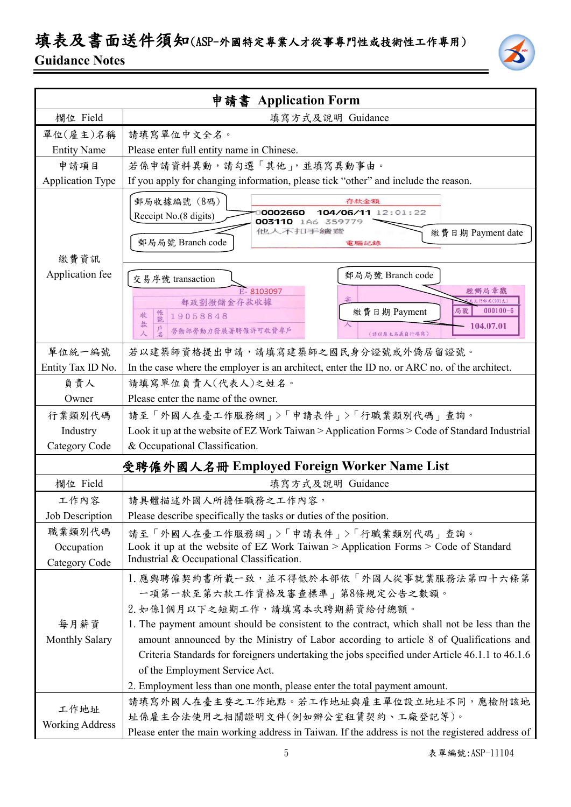### 填表及書面送件須知(ASP-外國特定專業人才從事專門性或技術性工作專用) **Guidance Notes**



|                                       | 申請書 Application Form                                                                                                                                                                                                                                                                                                                                                                                                                                                                                                       |  |  |
|---------------------------------------|----------------------------------------------------------------------------------------------------------------------------------------------------------------------------------------------------------------------------------------------------------------------------------------------------------------------------------------------------------------------------------------------------------------------------------------------------------------------------------------------------------------------------|--|--|
| 欄位 Field                              | 填寫方式及說明 Guidance                                                                                                                                                                                                                                                                                                                                                                                                                                                                                                           |  |  |
| 單位(雇主)名稱                              | 請填寫單位中文全名。                                                                                                                                                                                                                                                                                                                                                                                                                                                                                                                 |  |  |
| <b>Entity Name</b>                    | Please enter full entity name in Chinese.                                                                                                                                                                                                                                                                                                                                                                                                                                                                                  |  |  |
| 申請項目                                  | 若係申請資料異動,請勾選「其他」,並填寫異動事由。                                                                                                                                                                                                                                                                                                                                                                                                                                                                                                  |  |  |
| <b>Application Type</b>               | If you apply for changing information, please tick "other" and include the reason.                                                                                                                                                                                                                                                                                                                                                                                                                                         |  |  |
| 繳費資訊                                  | 郵局收據編號 (8碼)<br>存款金額<br>0002660<br>104/06/11 12:01:22<br>Receipt No.(8 digits)<br>003110 1A6 359779<br>他人不扣手續聽<br>繳費日期 Payment date<br>郵局局號 Branch code<br>電腦記錄                                                                                                                                                                                                                                                                                                                                                             |  |  |
| Application fee                       | 郵局局號 Branch code<br>交易序號 transaction                                                                                                                                                                                                                                                                                                                                                                                                                                                                                       |  |  |
|                                       | E-8103097<br>經辦局章戳<br>七北門郵局(901支)                                                                                                                                                                                                                                                                                                                                                                                                                                                                                          |  |  |
|                                       | 郵政劃撥儲金存款收據<br>$000100 - 6$<br>繳費日期 Payment<br>局號<br>恨號<br>收<br>19058848                                                                                                                                                                                                                                                                                                                                                                                                                                                    |  |  |
|                                       | 款<br>104.07.01<br>勞動部勞動力發展署聘僱許可收費專戶<br>(請以雇主名義自行填寫)                                                                                                                                                                                                                                                                                                                                                                                                                                                                        |  |  |
| 單位統一編號                                | 若以建築師資格提出申請,請填寫建築師之國民身分證號或外僑居留證號。                                                                                                                                                                                                                                                                                                                                                                                                                                                                                          |  |  |
| Entity Tax ID No.                     | In the case where the employer is an architect, enter the ID no. or ARC no. of the architect.                                                                                                                                                                                                                                                                                                                                                                                                                              |  |  |
| 負責人                                   | 請填寫單位負責人(代表人)之姓名。                                                                                                                                                                                                                                                                                                                                                                                                                                                                                                          |  |  |
| Owner                                 | Please enter the name of the owner.                                                                                                                                                                                                                                                                                                                                                                                                                                                                                        |  |  |
| 行業類別代碼                                | 請至「外國人在臺工作服務網」>「申請表件」>「行職業類別代碼」查詢。                                                                                                                                                                                                                                                                                                                                                                                                                                                                                         |  |  |
| Industry                              | Look it up at the website of EZ Work Taiwan > Application Forms > Code of Standard Industrial                                                                                                                                                                                                                                                                                                                                                                                                                              |  |  |
| Category Code                         | & Occupational Classification.                                                                                                                                                                                                                                                                                                                                                                                                                                                                                             |  |  |
|                                       | 受聘僱外國人名冊 Employed Foreign Worker Name List                                                                                                                                                                                                                                                                                                                                                                                                                                                                                 |  |  |
| 欄位 Field                              | 填寫方式及說明 Guidance                                                                                                                                                                                                                                                                                                                                                                                                                                                                                                           |  |  |
| 工作內容                                  | 請具體描述外國人所擔任職務之工作內容,                                                                                                                                                                                                                                                                                                                                                                                                                                                                                                        |  |  |
| Job Description                       | Please describe specifically the tasks or duties of the position.                                                                                                                                                                                                                                                                                                                                                                                                                                                          |  |  |
| 職業類別代碼<br>Occupation<br>Category Code | 請至「外國人在臺工作服務網」>「申請表件」>「行職業類別代碼」查詢。<br>Look it up at the website of EZ Work Taiwan > Application Forms > Code of Standard<br>Industrial & Occupational Classification.                                                                                                                                                                                                                                                                                                                                                      |  |  |
| 每月薪資<br><b>Monthly Salary</b>         | 1. 應與聘僱契約書所載一致,並不得低於本部依「外國人從事就業服務法第四十六條第<br>一項第一款至第六款工作資格及審查標準   第8條規定公告之數額。<br>2. 如係1個月以下之短期工作,請填寫本次聘期薪資給付總額。<br>1. The payment amount should be consistent to the contract, which shall not be less than the<br>amount announced by the Ministry of Labor according to article 8 of Qualifications and<br>Criteria Standards for foreigners undertaking the jobs specified under Article 46.1.1 to 46.1.6<br>of the Employment Service Act.<br>2. Employment less than one month, please enter the total payment amount. |  |  |
| 工作地址<br><b>Working Address</b>        | 請填寫外國人在臺主要之工作地點。若工作地址與雇主單位設立地址不同,應檢附該地<br>址係雇主合法使用之相關證明文件(例如辦公室租賃契約、工廠登記等)。<br>Please enter the main working address in Taiwan. If the address is not the registered address of                                                                                                                                                                                                                                                                                                                                            |  |  |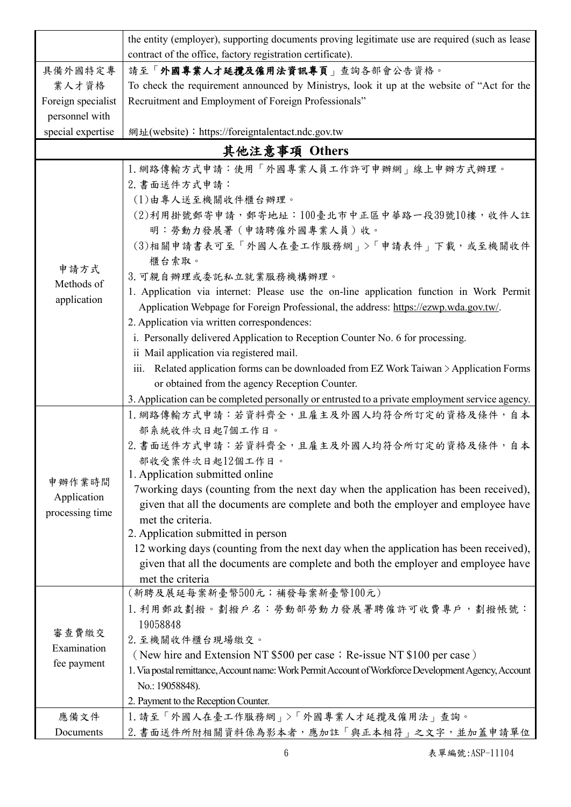|                                     | the entity (employer), supporting documents proving legitimate use are required (such as lease                             |  |  |  |  |
|-------------------------------------|----------------------------------------------------------------------------------------------------------------------------|--|--|--|--|
|                                     | contract of the office, factory registration certificate).<br>請至「外國專業人才延攬及僱用法資訊專頁」查詢各部會公告資格。                               |  |  |  |  |
| 具備外國特定專                             | To check the requirement announced by Ministrys, look it up at the website of "Act for the                                 |  |  |  |  |
| 業人才資格                               |                                                                                                                            |  |  |  |  |
| Foreign specialist                  | Recruitment and Employment of Foreign Professionals"                                                                       |  |  |  |  |
| personnel with<br>special expertise | 網址(website): https://foreigntalentact.ndc.gov.tw                                                                           |  |  |  |  |
|                                     | 其他注意事項 Others                                                                                                              |  |  |  |  |
|                                     |                                                                                                                            |  |  |  |  |
|                                     | 1. 網路傳輸方式申請:使用「外國專業人員工作許可申辦網」線上申辦方式辦理。                                                                                     |  |  |  |  |
|                                     | 2. 書面送件方式申請:<br>(1)由專人送至機關收件櫃台辦理。                                                                                          |  |  |  |  |
|                                     | (2)利用掛號郵寄申請,郵寄地址:100臺北市中正區中華路一段39號10樓,收件人註                                                                                 |  |  |  |  |
|                                     | 明:勞動力發展署(申請聘僱外國專業人員)收。                                                                                                     |  |  |  |  |
|                                     | (3)相關申請書表可至「外國人在臺工作服務網」>「申請表件」下載,或至機關收件                                                                                    |  |  |  |  |
|                                     | 櫃台索取。                                                                                                                      |  |  |  |  |
| 申請方式                                | 3. 可親自辦理或委託私立就業服務機構辦理。                                                                                                     |  |  |  |  |
| Methods of                          | 1. Application via internet: Please use the on-line application function in Work Permit                                    |  |  |  |  |
| application                         | Application Webpage for Foreign Professional, the address: https://ezwp.wda.gov.tw/.                                       |  |  |  |  |
|                                     | 2. Application via written correspondences:                                                                                |  |  |  |  |
|                                     | i. Personally delivered Application to Reception Counter No. 6 for processing.                                             |  |  |  |  |
|                                     | ii Mail application via registered mail.                                                                                   |  |  |  |  |
|                                     | iii. Related application forms can be downloaded from EZ Work Taiwan $\geq$ Application Forms                              |  |  |  |  |
|                                     | or obtained from the agency Reception Counter.                                                                             |  |  |  |  |
|                                     | 3. Application can be completed personally or entrusted to a private employment service agency.                            |  |  |  |  |
|                                     | 1. 網路傳輸方式申請:若資料齊全, 且雇主及外國人均符合所訂定的資格及條件, 自本                                                                                 |  |  |  |  |
|                                     | 部系統收件次日起7個工作日。                                                                                                             |  |  |  |  |
|                                     | 2. 書面送件方式申請:若資料齊全,且雇主及外國人均符合所訂定的資格及條件,自本                                                                                   |  |  |  |  |
|                                     | 部收受案件次日起12個工作日。                                                                                                            |  |  |  |  |
| 申辦作業時間                              | 1. Application submitted online                                                                                            |  |  |  |  |
| Application                         | 7 working days (counting from the next day when the application has been received),                                        |  |  |  |  |
| processing time                     | given that all the documents are complete and both the employer and employee have                                          |  |  |  |  |
|                                     | met the criteria.                                                                                                          |  |  |  |  |
|                                     | 2. Application submitted in person<br>12 working days (counting from the next day when the application has been received), |  |  |  |  |
|                                     | given that all the documents are complete and both the employer and employee have                                          |  |  |  |  |
|                                     | met the criteria                                                                                                           |  |  |  |  |
|                                     | (新聘及展延每案新臺幣500元;補發每案新臺幣100元)                                                                                               |  |  |  |  |
|                                     | 1. 利用郵政劃撥。劃撥戶名: 勞動部勞動力發展署聘僱許可收費專戶, 劃撥帳號:                                                                                   |  |  |  |  |
|                                     | 19058848                                                                                                                   |  |  |  |  |
| 審查費繳交                               | 2. 至機關收件櫃台現場繳交。                                                                                                            |  |  |  |  |
| Examination                         | (New hire and Extension NT \$500 per case; Re-issue NT \$100 per case)                                                     |  |  |  |  |
| fee payment                         | 1. Via postal remittance, Account name: Work Permit Account of Workforce Development Agency, Account                       |  |  |  |  |
|                                     | No.: 19058848).                                                                                                            |  |  |  |  |
|                                     | 2. Payment to the Reception Counter.                                                                                       |  |  |  |  |
| 應備文件                                | 1. 請至「外國人在臺工作服務網」>「外國專業人才延攬及僱用法」查詢。                                                                                        |  |  |  |  |
| Documents                           | 2. 書面送件所附相關資料係為影本者,應加註「與正本相符」之文字,並加蓋申請單位                                                                                   |  |  |  |  |